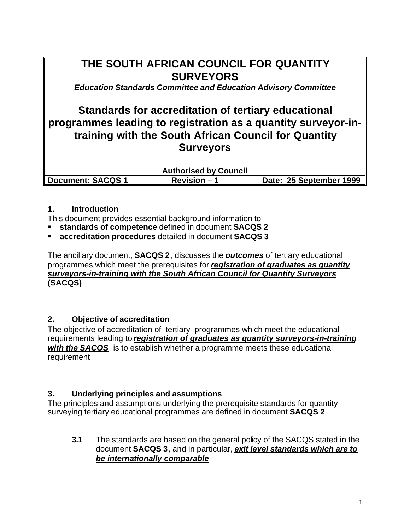# **THE SOUTH AFRICAN COUNCIL FOR QUANTITY SURVEYORS**

*Education Standards Committee and Education Advisory Committee*

## **Standards for accreditation of tertiary educational programmes leading to registration as a quantity surveyor-intraining with the South African Council for Quantity Surveyors**

|                          | <b>Authorised by Council</b> |                         |
|--------------------------|------------------------------|-------------------------|
| <b>Document: SACQS 1</b> | $Revision - 1$               | Date: 25 September 1999 |

#### **1. Introduction**

- This document provides essential background information to
- ß **standards of competence** defined in document **SACQS 2**
- ß **accreditation procedures** detailed in document **SACQS 3**

The ancillary document, **SACQS 2**, discusses the *outcomes* of tertiary educational programmes which meet the prerequisites for *registration of graduates as quantity surveyors-in-training with the South African Council for Quantity Surveyors* **(SACQS)**

### **2. Objective of accreditation**

The objective of accreditation of tertiary programmes which meet the educational requirements leading to *registration of graduates as quantity surveyors-in-training with the SACQS* is to establish whether a programme meets these educational requirement

### **3. Underlying principles and assumptions**

The principles and assumptions underlying the prerequisite standards for quantity surveying tertiary educational programmes are defined in document **SACQS 2**

**3.1** The standards are based on the general policy of the SACQS stated in the document **SACQS 3**, and in particular, *exit level standards which are to be internationally comparable*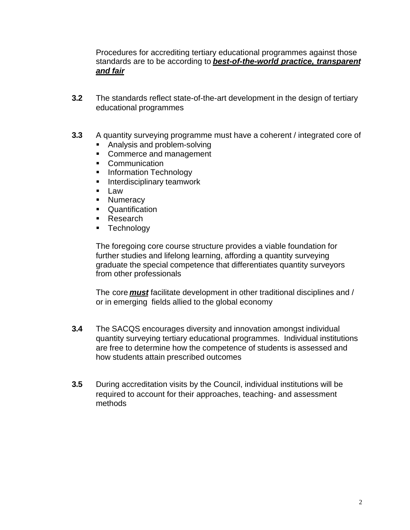Procedures for accrediting tertiary educational programmes against those standards are to be according to *best-of-the-world practice, transparent and fair*

- **3.2** The standards reflect state-of-the-art development in the design of tertiary educational programmes
- **3.3** A quantity surveying programme must have a coherent / integrated core of
	- Analysis and problem-solving
	- Commerce and management
	- Communication
	- **EXECUTE:** Information Technology
	- **Interdisciplinary teamwork**
	- Law
	- Numeracy
	- Quantification
	- Research
	- **Exercise Fig. 5**

The foregoing core course structure provides a viable foundation for further studies and lifelong learning, affording a quantity surveying graduate the special competence that differentiates quantity surveyors from other professionals

The core *must* facilitate development in other traditional disciplines and / or in emerging fields allied to the global economy

- **3.4** The SACQS encourages diversity and innovation amongst individual quantity surveying tertiary educational programmes. Individual institutions are free to determine how the competence of students is assessed and how students attain prescribed outcomes
- **3.5** During accreditation visits by the Council, individual institutions will be required to account for their approaches, teaching- and assessment methods